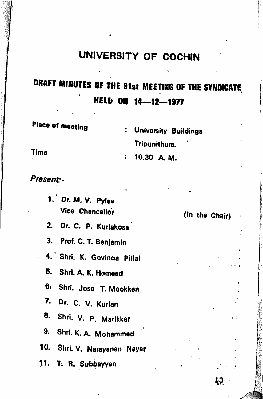## UNIVERSITY OF COCHIN

## draft MINUTES OF THE 81st MEETING OF THE SYNDICATE HELD ON 14—12—1977

Place of meeting **:** University Buildings Tripunithura\*

 $: 10.30$  A. M.

Time

Present-

1. Dr. M. V. Pylee Vice Chancellor

2. Dr. C. P. Kuriakosa

3. Prof. C. T. Benjamin

4. Shri. K. Govinoa Pillai

6. Shrl. A, K. Hameed

6, Shri. Jose T. Mookken

7. Dr. c. V. Kurian

8. Shri. V. P. Marikkar

9. Shri. K. A. Mohammed

10. Shri. V. Narayanan Nayar

11. T. R. Subbayyan

(in the Chair)

ť

ا باز ا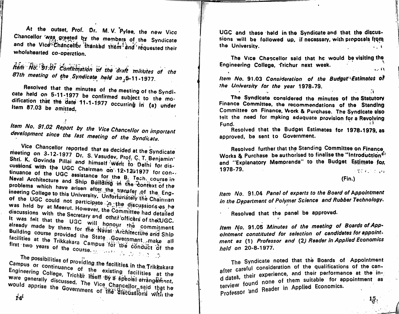At the outset, Prof. Dr. M.V. Pylee, the new Vice Chancellor was greeted by the members of the Syndicate and the Vice Chancellor thanked them and requested their wholehearted co-operation.

hem No. '91.01 Continuation of the draft minutes of she 87th meeting of the Syndicate held on 5-11-1977.

Resolved that the minutes of the meeting of the Syndicate held on 5-11-1977 be confirmed subject to the modification that the date 11-1-1977 occurring in (a) under Item 87.03 be amitted.

Item No. 91.02 Report by the Vice Chancellor on important development since the last meeting of the Syndicate.

Vice Chancellor reported that as decided at the Syndicate meeting on 3-12-1977 Dr. S. Vasudev, Prof. C. T. Benjamin' Shri. K. Govinda Pillai and himself went to Delhi for discussions with the UGC Chairman on 12-12-1977 for continuance of the UGC assistance for the B. Tech. course in Naval Architecture and Ship Building in the Context of the problems which have arisen after the transfer of the Engineering College to this University. Unfortunately the Chairman of the UGC could not participate in the discussions as he was held by at Meerut. However, the Committee had detailed discussions with the Secretary and other officers of the UGC. It was felt that the UGC will honour the commitment already made by them for the Naval Architecture and Ship Building course provided the State Government make all facilities at the Trikkakara Campus for the conduct of the first two years of the course.

The possibilities of providing the facilities in the Trikkakara Campus or continuance of the existing facilities at the Engineering College, Trichlir itself By a special arrangerhent, were generally discussed. The Vice Chancellor said that he would apprise the Government of the discussions with the

UGC and these held in the Syndicate and that the discussions will be followed up, if necessary, with proposals from the University.

The Vice Chancellor said that he would be visiting the Engineering College, frichur next week.  $\ldots$   $\blacksquare$ 

Item No. 91.03 Consideration of the Budget Estimates of the University for the year 1978-79.  $\sim$   $\alpha$ 

The Syndicate considered the minutes of the Statutory Finance Committee, the recommendations of the Standing Committee on Finance, Work & Purchase. The Syndicate also telt the need for making adequate provision for a Revolving Fund.

Resolved that the Budget Estimates for 1978-1979, as approved, be sent to Government.

Resolved further that the Standing Committee on Finance Works & Purchase be authorised to finalise the "Introduction" and "Explanatory Memoranda" to the Budget Estimate for. 1978-79. 医腰皮病 医白细胞

 $(Fin.)$ 

 $15.$ 

Item No. 91.04 Panel of experts to the Board of Appointment in the Department of Polymer Science and Rubber Technology.

Resolved that the panel be approved.

Item No. 91.05 Minutes of the meeting of Boards of Appointment constituted for selection of candidates for appointment as (1) Professor and (2) Reader in Applied Economics held on 20-8-1977.

The Syndicate noted that the Boards of Appointment after careful consideration of the qualifications of the cand dates, their experience, and their performance at the interview found none of them suitable for appointment as Professor and Reader in Applied Economics.